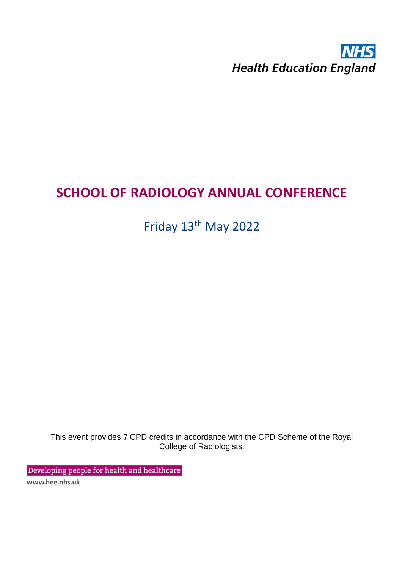## **NHS Health Education England**

## **SCHOOL OF RADIOLOGY ANNUAL CONFERENCE**

Friday 13<sup>th</sup> May 2022

This event provides 7 CPD credits in accordance with the CPD Scheme of the Royal College of Radiologists.

Developing people for health and healthcare

www.hee.nhs.uk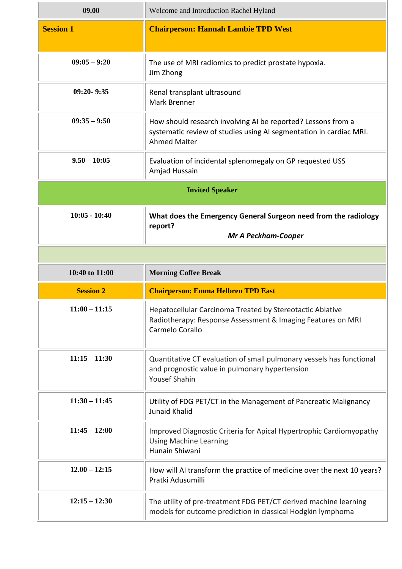| 09.00                  | Welcome and Introduction Rachel Hyland                                                                                                                    |  |
|------------------------|-----------------------------------------------------------------------------------------------------------------------------------------------------------|--|
| <b>Session 1</b>       | <b>Chairperson: Hannah Lambie TPD West</b>                                                                                                                |  |
| $09:05 - 9:20$         | The use of MRI radiomics to predict prostate hypoxia.<br>Jim Zhong                                                                                        |  |
| $09:20 - 9:35$         | Renal transplant ultrasound<br>Mark Brenner                                                                                                               |  |
| $09:35 - 9:50$         | How should research involving AI be reported? Lessons from a<br>systematic review of studies using AI segmentation in cardiac MRI.<br><b>Ahmed Maiter</b> |  |
| $9.50 - 10:05$         | Evaluation of incidental splenomegaly on GP requested USS<br>Amjad Hussain                                                                                |  |
| <b>Invited Speaker</b> |                                                                                                                                                           |  |
| $10:05 - 10:40$        | What does the Emergency General Surgeon need from the radiology<br>report?<br><b>Mr A Peckham-Cooper</b>                                                  |  |
|                        |                                                                                                                                                           |  |
|                        |                                                                                                                                                           |  |
| 10:40 to 11:00         | <b>Morning Coffee Break</b>                                                                                                                               |  |
| <b>Session 2</b>       | <b>Chairperson: Emma Helbren TPD East</b>                                                                                                                 |  |
| $11:00 - 11:15$        | Hepatocellular Carcinoma Treated by Stereotactic Ablative<br>Radiotherapy: Response Assessment & Imaging Features on MRI<br>Carmelo Corallo               |  |
| $11:15 - 11:30$        | Quantitative CT evaluation of small pulmonary vessels has functional<br>and prognostic value in pulmonary hypertension<br><b>Yousef Shahin</b>            |  |
| $11:30 - 11:45$        | Utility of FDG PET/CT in the Management of Pancreatic Malignancy<br>Junaid Khalid                                                                         |  |
| $11:45 - 12:00$        | Improved Diagnostic Criteria for Apical Hypertrophic Cardiomyopathy<br><b>Using Machine Learning</b><br>Hunain Shiwani                                    |  |
| $12.00 - 12:15$        | How will AI transform the practice of medicine over the next 10 years?<br>Pratki Adusumilli                                                               |  |